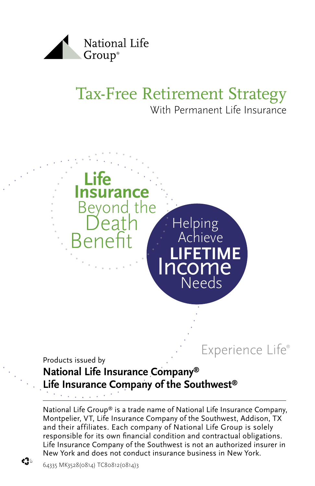

# Tax-Free Retirement Strategy With Permanent Life Insurance



Experience Life®

Products issued by

### **National Life Insurance Company® Life Insurance Company of the Southwest®**

National Life Group® is a trade name of National Life Insurance Company, Montpelier, VT, Life Insurance Company of the Southwest, Addison, TX and their affiliates. Each company of National Life Group is solely responsible for its own financial condition and contractual obligations. Life Insurance Company of the Southwest is not an authorized insurer in New York and does not conduct insurance business in New York.

ረት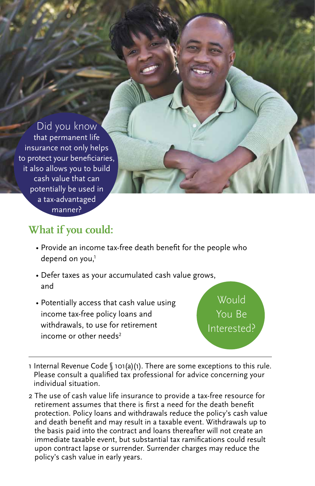Did you know that permanent life insurance not only helps to protect your beneficiaries, it also allows you to build cash value that can potentially be used in a tax-advantaged manner?

### **What if you could:**

- Provide an income tax-free death benefit for the people who depend on you, $<sup>1</sup>$ </sup>
- Defer taxes as your accumulated cash value grows, and
- Potentially access that cash value using income tax-free policy loans and withdrawals, to use for retirement income or other needs<sup>2</sup>

**Would** You Be Interested?

- 1 Internal Revenue Code § 101(a)(1). There are some exceptions to this rule. Please consult a qualified tax professional for advice concerning your individual situation.
- 2 The use of cash value life insurance to provide a tax-free resource for retirement assumes that there is first a need for the death benefit protection. Policy loans and withdrawals reduce the policy's cash value and death benefit and may result in a taxable event. Withdrawals up to the basis paid into the contract and loans thereafter will not create an immediate taxable event, but substantial tax ramifications could result upon contract lapse or surrender. Surrender charges may reduce the policy's cash value in early years.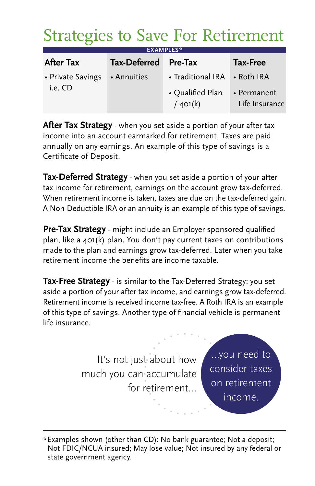# Strategies to Save For Retirement

| <b>EXAMPLES*</b>                         |                     |                                     |                               |
|------------------------------------------|---------------------|-------------------------------------|-------------------------------|
| <b>After Tax</b>                         | <b>Tax-Deferred</b> | Pre-Tax                             | Tax-Free                      |
| • Private Savings • Annuities<br>i.e. CD |                     | • Traditional IRA • Roth IRA        |                               |
|                                          |                     | $\bullet$ Qualified Plan<br>/401(k) | • Permanent<br>Life Insurance |

**After Tax Strategy** - when you set aside a portion of your after tax income into an account earmarked for retirement. Taxes are paid annually on any earnings. An example of this type of savings is a Certificate of Deposit.

**Tax-Deferred Strategy** - when you set aside a portion of your after tax income for retirement, earnings on the account grow tax-deferred. When retirement income is taken, taxes are due on the tax-deferred gain. A Non-Deductible IRA or an annuity is an example of this type of savings.

**Pre-Tax Strategy** - might include an Employer sponsored qualified plan, like a 401(k) plan. You don't pay current taxes on contributions made to the plan and earnings grow tax-deferred. Later when you take retirement income the benefits are income taxable.

**Tax-Free Strategy** - is similar to the Tax-Deferred Strategy: you set aside a portion of your after tax income, and earnings grow tax-deferred. Retirement income is received income tax-free. A Roth IRA is an example of this type of savings. Another type of financial vehicle is permanent life insurance.

> It's not just about how much you can accumulate for retirement…

…you need to consider taxes on retirement income.

\* Examples shown (other than CD): No bank guarantee; Not a deposit; Not FDIC/NCUA insured; May lose value; Not insured by any federal or state government agency.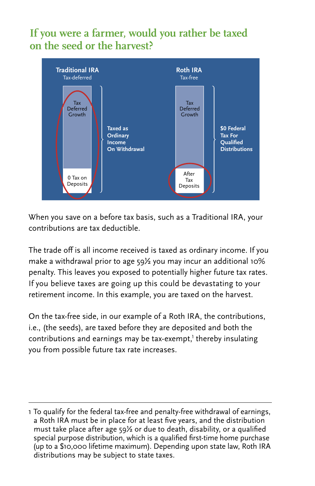### **If you were a farmer, would you rather be taxed on the seed or the harvest?**



When you save on a before tax basis, such as a Traditional IRA, your contributions are tax deductible.

The trade off is all income received is taxed as ordinary income. If you make a withdrawal prior to age 59½ you may incur an additional 10% penalty. This leaves you exposed to potentially higher future tax rates. If you believe taxes are going up this could be devastating to your retirement income. In this example, you are taxed on the harvest.

On the tax-free side, in our example of a Roth IRA, the contributions, i.e., (the seeds), are taxed before they are deposited and both the contributions and earnings may be tax-exempt,' thereby insulating you from possible future tax rate increases.

<sup>1</sup> To qualify for the federal tax-free and penalty-free withdrawal of earnings, a Roth IRA must be in place for at least five years, and the distribution must take place after age  $59\frac{1}{2}$  or due to death, disability, or a qualified special purpose distribution, which is a qualified first-time home purchase (up to a \$10,000 lifetime maximum). Depending upon state law, Roth IRA distributions may be subject to state taxes.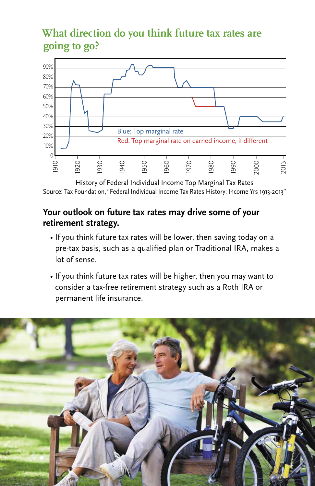## **What direction do you think future tax rates are going to go?**



History of Federal Individual Income Top Marginal Tax Rates Source: Tax Foundation, "Federal Individual Income Tax Rates History: Income Yrs 1913-2013"

#### **Your outlook on future tax rates may drive some of your retirement strategy.**

- If you think future tax rates will be lower, then saving today on a pre-tax basis, such as a qualified plan or Traditional IRA, makes a lot of sense.
- If you think future tax rates will be higher, then you may want to consider a tax-free retirement strategy such as a Roth IRA or permanent life insurance.

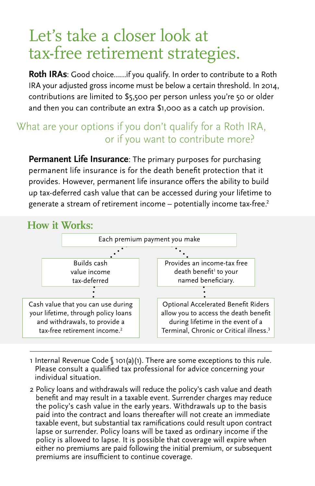# Let's take a closer look at tax-free retirement strategies.

**Roth IRAs**: Good choice……if you qualify. In order to contribute to a Roth IRA your adjusted gross income must be below a certain threshold. In 2014, contributions are limited to \$5,500 per person unless you're 50 or older and then you can contribute an extra \$1,000 as a catch up provision.

### What are your options if you don't qualify for a Roth IRA, or if you want to contribute more?

**Permanent Life Insurance**: The primary purposes for purchasing permanent life insurance is for the death benefit protection that it provides. However, permanent life insurance offers the ability to build up tax-deferred cash value that can be accessed during your lifetime to generate a stream of retirement income – potentially income tax-free.<sup>2</sup>



1 Internal Revenue Code § 101(a)(1). There are some exceptions to this rule. Please consult a qualified tax professional for advice concerning your individual situation.

2 Policy loans and withdrawals will reduce the policy's cash value and death benefit and may result in a taxable event. Surrender charges may reduce the policy's cash value in the early years. Withdrawals up to the basis paid into the contract and loans thereafter will not create an immediate taxable event, but substantial tax ramifications could result upon contract lapse or surrender. Policy loans will be taxed as ordinary income if the policy is allowed to lapse. It is possible that coverage will expire when either no premiums are paid following the initial premium, or subsequent premiums are insufficient to continue coverage.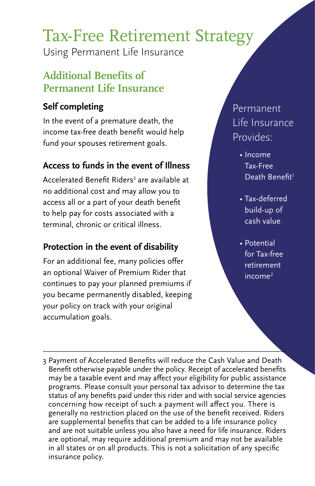# Tax-Free Retirement Strategy

Using Permanent Life Insurance

## **Additional Benefits of Permanent Life Insurance**

### **Self completing**

In the event of a premature death, the income tax-free death benefit would help fund your spouses retirement goals.

### **Access to funds in the event of Illness**

Accelerated Benefit Riders<sup>3</sup> are available at no additional cost and may allow you to access all or a part of your death benefit to help pay for costs associated with a terminal, chronic or critical illness.

### **Protection in the event of disability**

For an additional fee, many policies offer an optional Waiver of Premium Rider that continues to pay your planned premiums if you became permanently disabled, keeping your policy on track with your original accumulation goals.

# Permanent Life Insurance Provides:

- Income Tax-Free Death Benefit<sup>1</sup>
- Tax-deferred build-up of cash value
- Potential for Tax-free retirement  $income<sup>2</sup>$

3 Payment of Accelerated Benefits will reduce the Cash Value and Death Benefit otherwise payable under the policy. Receipt of accelerated benefits may be a taxable event and may affect your eligibility for public assistance programs. Please consult your personal tax advisor to determine the tax status of any benefits paid under this rider and with social service agencies concerning how receipt of such a payment will affect you. There is generally no restriction placed on the use of the benefit received. Riders are supplemental benefits that can be added to a life insurance policy and are not suitable unless you also have a need for life insurance. Riders are optional, may require additional premium and may not be available in all states or on all products. This is not a solicitation of any specific insurance policy.